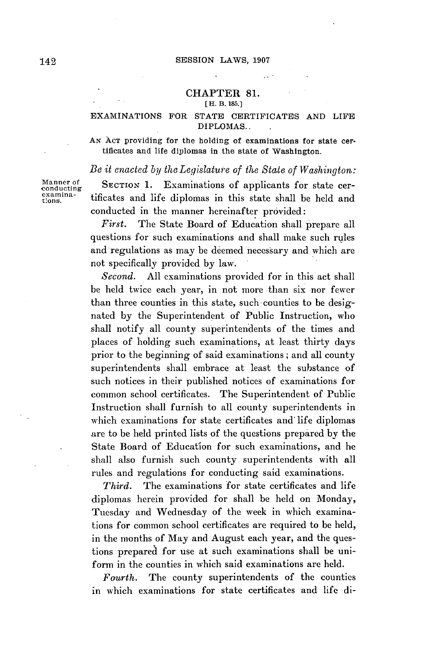## CHAPTER **81. [H.** B. **185.]**

## **EXAMINATIONS** FOR **STATE** CERTIFICATES **AND** LIFE **DIPLOMAS.,.**

**AN AcT** providing for the holding of examinations for state certificates and life diplomas in the state of Washington.

## *Be it enacted by the Legislature of the State of Washington:*

Manner of **SECTION 1.** Examinations of applicants for state cer-<br>examina-<br>tificates and life diplomas in this state shall be held and conducted in the manner hereinafter provided:

> *First.* The State Board of Education shall prepare all questions for such examinations and shall make such rules and regulations as may **be** deemed necessary and which are not specifically provided **by** law.

> *Second.* **All** examinations provided for in this act shall be held twice each year, in not more than six nor fewer than three counties in this state, such counties to be designated **by** the Superintendent of Public Instruction, who shall notify all county superintendents of the times and places of holding such examinations, at least thirty days prior to the beginning of said examinations; and all county superintendents shall embrace at least the substance of such notices in their published notices of examinations for common school certificates. The Superintendent of Public Instruction shall furnish to all county superintendents in which examinations for state certificates and' life diplomas are to be held printed lists of the questions prepared by the State Board of Education for such examinations, and he shall also furnish such county superintendents with all rules and regulations for conducting said examinations.

> *Third.* The examinations for state certificates and life diplomas herein provided for shall be held on Monday, Tuesday and Wednesday of the week in which examinations for common school certificates are required to be held, in the months of May and August each year, and the questions prepared for use at such examinations shall be uniform in the counties in which said examinations are held.

> *Fourth.* The county superintendents of the counties in which examinations for state certificates and **life** di-